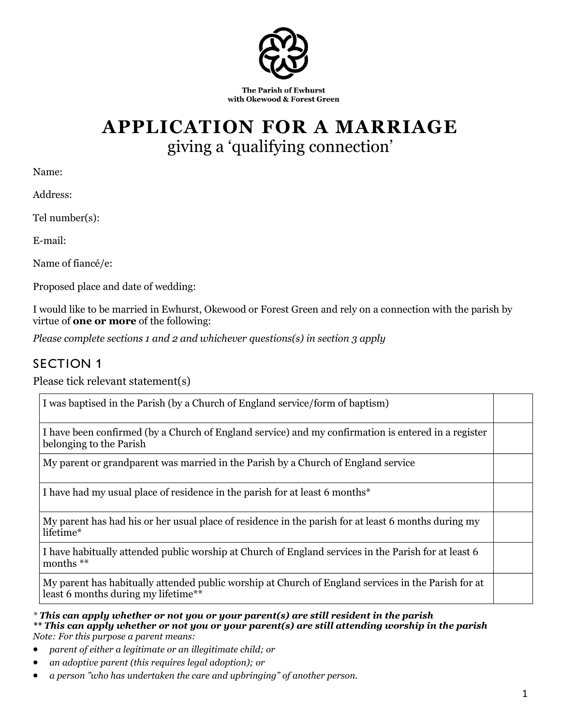

# **APPLICATION FOR A MARRIAGE** giving a 'qualifying connection'

Name:

Address:

Tel number(s):

E-mail:

Name of fiancé/e:

Proposed place and date of wedding:

I would like to be married in Ewhurst, Okewood or Forest Green and rely on a connection with the parish by virtue of **one or more** of the following:

*Please complete sections 1 and 2 and whichever questions(s) in section 3 apply*

### SECTION 1

Please tick relevant statement(s)

| I was baptised in the Parish (by a Church of England service/form of baptism)                                                              |  |
|--------------------------------------------------------------------------------------------------------------------------------------------|--|
| I have been confirmed (by a Church of England service) and my confirmation is entered in a register<br>belonging to the Parish             |  |
| My parent or grandparent was married in the Parish by a Church of England service                                                          |  |
| I have had my usual place of residence in the parish for at least 6 months*                                                                |  |
| My parent has had his or her usual place of residence in the parish for at least 6 months during my<br>lifetime*                           |  |
| I have habitually attended public worship at Church of England services in the Parish for at least 6<br>months **                          |  |
| My parent has habitually attended public worship at Church of England services in the Parish for at<br>least 6 months during my lifetime** |  |

*\* This can apply whether or not you or your parent(s) are still resident in the parish \*\* This can apply whether or not you or your parent(s) are still attending worship in the parish Note: For this purpose a parent means:*

- *parent of either a legitimate or an illegitimate child; or*
- *an adoptive parent (this requires legal adoption); or*
- *a person "who has undertaken the care and upbringing" of another person.*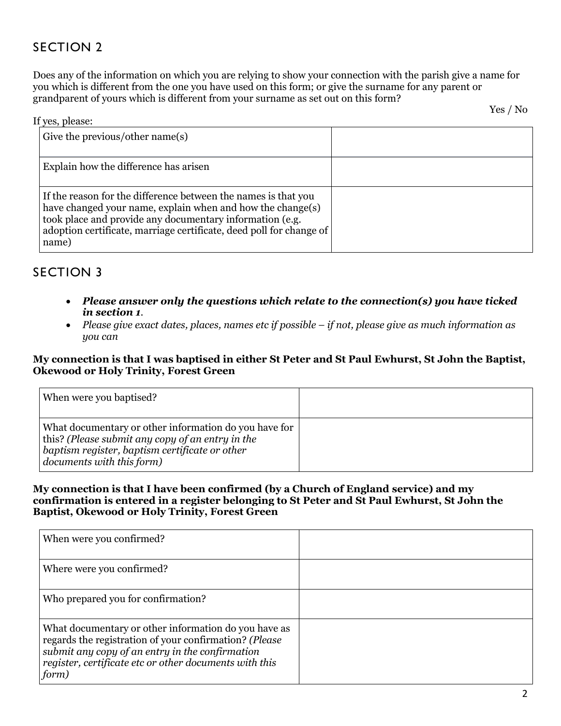# SECTION 2

Does any of the information on which you are relying to show your connection with the parish give a name for you which is different from the one you have used on this form; or give the surname for any parent or grandparent of yours which is different from your surname as set out on this form?

Yes / No

| If yes, please:                                                                                                                                                                                                                                                          |  |
|--------------------------------------------------------------------------------------------------------------------------------------------------------------------------------------------------------------------------------------------------------------------------|--|
| Give the previous/other name(s)                                                                                                                                                                                                                                          |  |
| Explain how the difference has arisen                                                                                                                                                                                                                                    |  |
| If the reason for the difference between the names is that you<br>have changed your name, explain when and how the change(s)<br>took place and provide any documentary information (e.g.<br>adoption certificate, marriage certificate, deed poll for change of<br>name) |  |

## SECTION 3

- *Please answer only the questions which relate to the connection(s) you have ticked in section 1.*
- Please give exact dates, places, names etc if possible if not, please give as much information as *you can*

#### My connection is that I was baptised in either St Peter and St Paul Ewhurst, St John the Baptist, **Okewood or Holy Trinity, Forest Green**

| When were you baptised?                                                                                                                                                                  |  |
|------------------------------------------------------------------------------------------------------------------------------------------------------------------------------------------|--|
| What documentary or other information do you have for<br>this? (Please submit any copy of an entry in the<br>baptism register, baptism certificate or other<br>documents with this form) |  |

#### **My connection is that I have been confirmed (by a Church of England service) and my confirmation is entered in a register belonging to St Peter and St Paul Ewhurst, St John the Baptist, Okewood or Holy Trinity, Forest Green**

| When were you confirmed?                                                                                                                                                                                                             |  |
|--------------------------------------------------------------------------------------------------------------------------------------------------------------------------------------------------------------------------------------|--|
| Where were you confirmed?                                                                                                                                                                                                            |  |
| Who prepared you for confirmation?                                                                                                                                                                                                   |  |
| What documentary or other information do you have as<br>regards the registration of your confirmation? (Please<br>submit any copy of an entry in the confirmation<br>register, certificate etc or other documents with this<br>form) |  |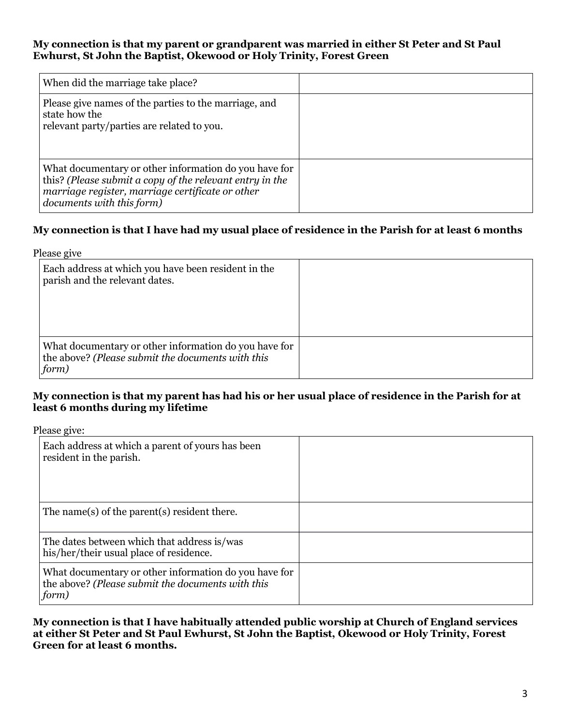#### **My connection is that my parent or grandparent was married in either St Peter and St Paul Ewhurst, St John the Baptist, Okewood or Holy Trinity, Forest Green**

| When did the marriage take place?                                                                                                                                                                  |  |
|----------------------------------------------------------------------------------------------------------------------------------------------------------------------------------------------------|--|
| Please give names of the parties to the marriage, and<br>state how the<br>relevant party/parties are related to you.                                                                               |  |
| What documentary or other information do you have for<br>this? (Please submit a copy of the relevant entry in the<br>marriage register, marriage certificate or other<br>documents with this form) |  |

#### My connection is that I have had my usual place of residence in the Parish for at least 6 months

Please give

| Each address at which you have been resident in the<br>parish and the relevant dates.                               |  |
|---------------------------------------------------------------------------------------------------------------------|--|
| What documentary or other information do you have for<br>the above? (Please submit the documents with this<br>form) |  |

#### My connection is that my parent has had his or her usual place of residence in the Parish for at **least 6 months during my lifetime**

Please give:

| Each address at which a parent of yours has been<br>resident in the parish.                                         |  |
|---------------------------------------------------------------------------------------------------------------------|--|
| The name(s) of the parent(s) resident there.                                                                        |  |
| The dates between which that address is/was<br>his/her/their usual place of residence.                              |  |
| What documentary or other information do you have for<br>the above? (Please submit the documents with this<br>form) |  |

**My connection is that I have habitually attended public worship at Church of England services at either St Peter and St Paul Ewhurst, St John the Baptist, Okewood or Holy Trinity, Forest Green for at least 6 months.**